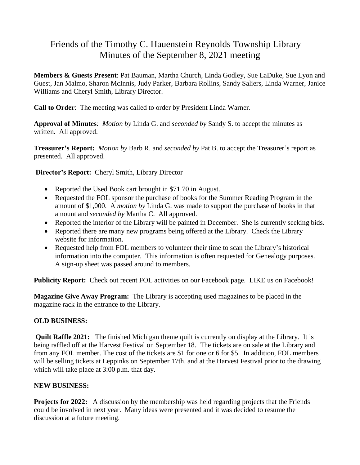# Friends of the Timothy C. Hauenstein Reynolds Township Library Minutes of the September 8, 2021 meeting

**Members & Guests Present**: Pat Bauman, Martha Church, Linda Godley, Sue LaDuke, Sue Lyon and Guest, Jan Malmo, Sharon McInnis, Judy Parker, Barbara Rollins, Sandy Saliers, Linda Warner, Janice Williams and Cheryl Smith, Library Director.

**Call to Order**: The meeting was called to order by President Linda Warner.

**Approval of Minutes***: Motion by* Linda G. and *seconded by* Sandy S. to accept the minutes as written. All approved.

**Treasurer's Report:** *Motion by* Barb R. and *seconded by* Pat B. to accept the Treasurer's report as presented. All approved.

**Director's Report:** Cheryl Smith, Library Director

- Reported the Used Book cart brought in \$71.70 in August.
- Requested the FOL sponsor the purchase of books for the Summer Reading Program in the amount of \$1,000. A *motion by* Linda G. was made to support the purchase of books in that amount and *seconded by* Martha C. All approved.
- Reported the interior of the Library will be painted in December. She is currently seeking bids.
- Reported there are many new programs being offered at the Library. Check the Library website for information.
- Requested help from FOL members to volunteer their time to scan the Library's historical information into the computer. This information is often requested for Genealogy purposes. A sign-up sheet was passed around to members.

**Publicity Report:** Check out recent FOL activities on our Facebook page. LIKE us on Facebook!

**Magazine Give Away Program:** The Library is accepting used magazines to be placed in the magazine rack in the entrance to the Library.

## **OLD BUSINESS:**

**Quilt Raffle 2021:** The finished Michigan theme quilt is currently on display at the Library. It is being raffled off at the Harvest Festival on September 18. The tickets are on sale at the Library and from any FOL member. The cost of the tickets are \$1 for one or 6 for \$5. In addition, FOL members will be selling tickets at Leppinks on September 17th. and at the Harvest Festival prior to the drawing which will take place at 3:00 p.m. that day.

## **NEW BUSINESS:**

**Projects for 2022:** A discussion by the membership was held regarding projects that the Friends could be involved in next year. Many ideas were presented and it was decided to resume the discussion at a future meeting.